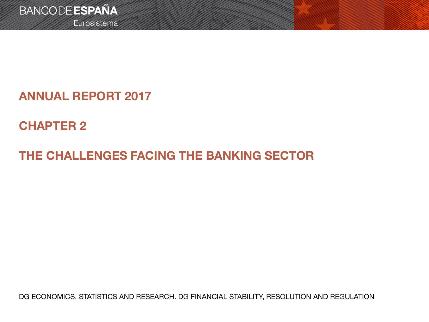Eurosistema

## **ANNUAL REPORT 2017**

# **CHAPTER 2**

# **THE CHALLENGES FACING THE BANKING SECTOR**

DG ECONOMICS, STATISTICS AND RESEARCH. DG FINANCIAL STABILITY, RESOLUTION AND REGULATION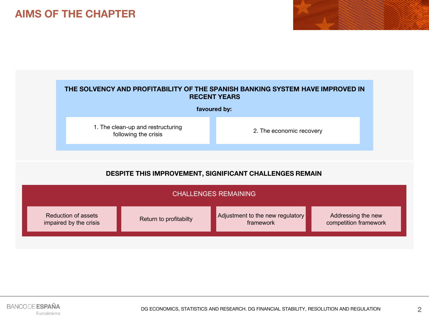### **AIMS OF THE CHAPTER**



### **DESPITE THIS IMPROVEMENT, SIGNIFICANT CHALLENGES REMAIN**

| <b>CHALLENGES REMAINING</b> |                        |                                  |                       |  |
|-----------------------------|------------------------|----------------------------------|-----------------------|--|
| Reduction of assets         | Return to profitabilty | Adjustment to the new regulatory | Addressing the new    |  |
| impaired by the crisis      |                        | framework                        | competition framework |  |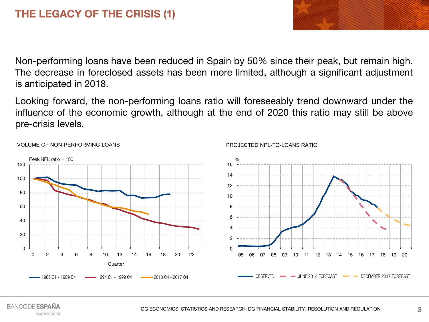Non-performing loans have been reduced in Spain by 50% since their peak, but remain high. The decrease in foreclosed assets has been more limited, although a significant adjustment is anticipated in 2018.

Looking forward, the non-performing loans ratio will foreseeably trend downward under the influence of the economic growth, although at the end of 2020 this ratio may still be above pre-crisis levels.



#### VOLUME OF NON-PERFORMING LOANS

#### PROJECTED NPL-TO-LOANS RATIO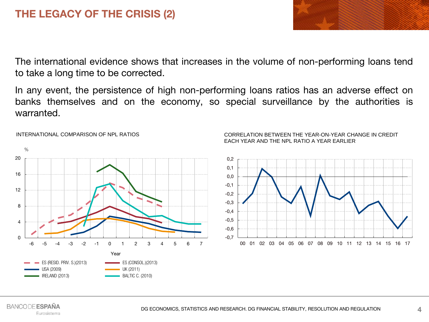### **THE LEGACY OF THE CRISIS (2)**

The international evidence shows that increases in the volume of non-performing loans tend to take a long time to be corrected.

In any event, the persistence of high non-performing loans ratios has an adverse effect on banks themselves and on the economy, so special surveillance by the authorities is warranted.



#### INTERNATIONAL COMPARISON OF NPL RATIOS

#### CORRELATION BETWEEN THE YEAR-ON-YEAR CHANGE IN CREDIT EACH YEAR AND THE NPL RATIO A YEAR EARLIER

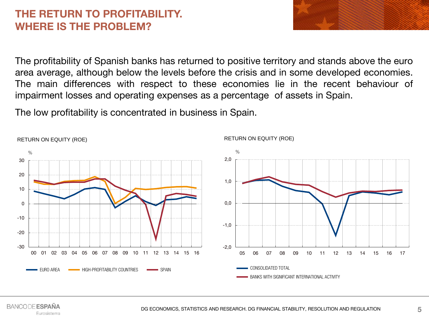### **THE RETURN TO PROFITABILITY. WHERE IS THE PROBLEM?**

The profitability of Spanish banks has returned to positive territory and stands above the euro area average, although below the levels before the crisis and in some developed economies. The main differences with respect to these economies lie in the recent behaviour of impairment losses and operating expenses as a percentage of assets in Spain.

The low profitability is concentrated in business in Spain.



RETURN ON EQUITY (ROE)

#### **BANCODE ESPAÑA** Eurosistema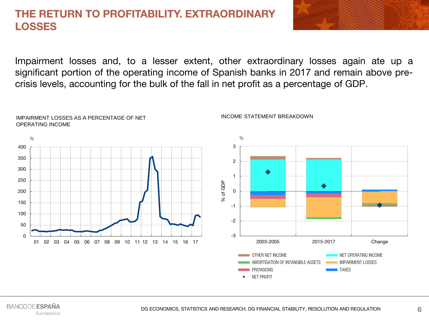### **THE RETURN TO PROFITABILITY. EXTRAORDINARY LOSSES**

Impairment losses and, to a lesser extent, other extraordinary losses again ate up a significant portion of the operating income of Spanish banks in 2017 and remain above precrisis levels, accounting for the bulk of the fall in net profit as a percentage of GDP.



#### **BANCODE ESPAÑA** Eurosistema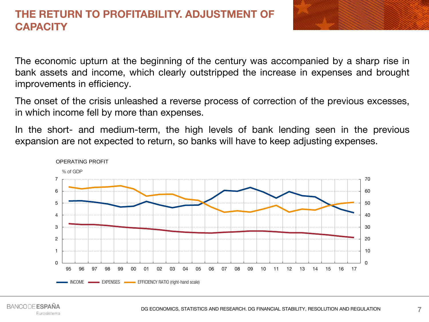### **THE RETURN TO PROFITABILITY. ADJUSTMENT OF CAPACITY**



The economic upturn at the beginning of the century was accompanied by a sharp rise in bank assets and income, which clearly outstripped the increase in expenses and brought improvements in efficiency.

The onset of the crisis unleashed a reverse process of correction of the previous excesses, in which income fell by more than expenses.

In the short- and medium-term, the high levels of bank lending seen in the previous expansion are not expected to return, so banks will have to keep adjusting expenses.

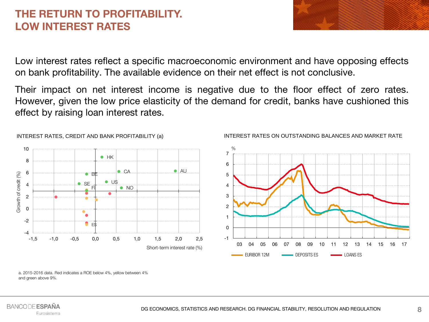### **THE RETURN TO PROFITABILITY. LOW INTEREST RATES**

Low interest rates reflect a specific macroeconomic environment and have opposing effects on bank profitability. The available evidence on their net effect is not conclusive.

Their impact on net interest income is negative due to the floor effect of zero rates. However, given the low price elasticity of the demand for credit, banks have cushioned this effect by raising loan interest rates.



#### INTEREST RATES, CREDIT AND BANK PROFITABILITY (a)



#### INTEREST RATES ON OUTSTANDING BALANCES AND MARKET RATE

a. 2015-2016 data. Red indicates a ROE below 4%, yellow between 4% and green above 9%.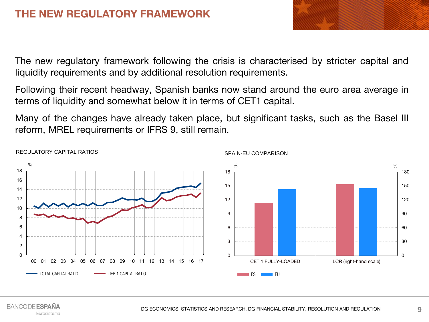The new regulatory framework following the crisis is characterised by stricter capital and liquidity requirements and by additional resolution requirements.

Following their recent headway, Spanish banks now stand around the euro area average in terms of liquidity and somewhat below it in terms of CET1 capital.

Many of the changes have already taken place, but significant tasks, such as the Basel III reform, MREL requirements or IFRS 9, still remain.



### REGULATORY CAPITAL RATIOS

SPAIN-EU COMPARISON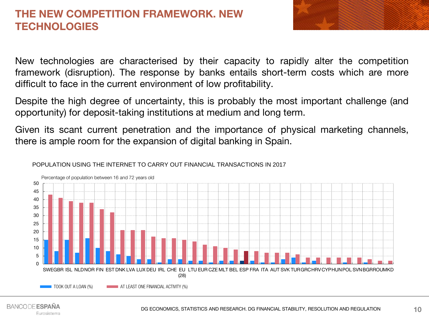### **THE NEW COMPETITION FRAMEWORK. NEW TECHNOLOGIES**



New technologies are characterised by their capacity to rapidly alter the competition framework (disruption). The response by banks entails short-term costs which are more difficult to face in the current environment of low profitability.

Despite the high degree of uncertainty, this is probably the most important challenge (and opportunity) for deposit-taking institutions at medium and long term.

Given its scant current penetration and the importance of physical marketing channels, there is ample room for the expansion of digital banking in Spain.

POPULATION USING THE INTERNET TO CARRY OUT FINANCIAL TRANSACTIONS IN 2017

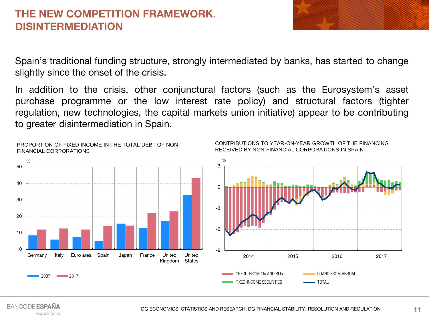### **THE NEW COMPETITION FRAMEWORK. DISINTERMEDIATION**

Spain's traditional funding structure, strongly intermediated by banks, has started to change slightly since the onset of the crisis.

In addition to the crisis, other conjunctural factors (such as the Eurosystem's asset purchase programme or the low interest rate policy) and structural factors (tighter regulation, new technologies, the capital markets union initiative) appear to be contributing to greater disintermediation in Spain.